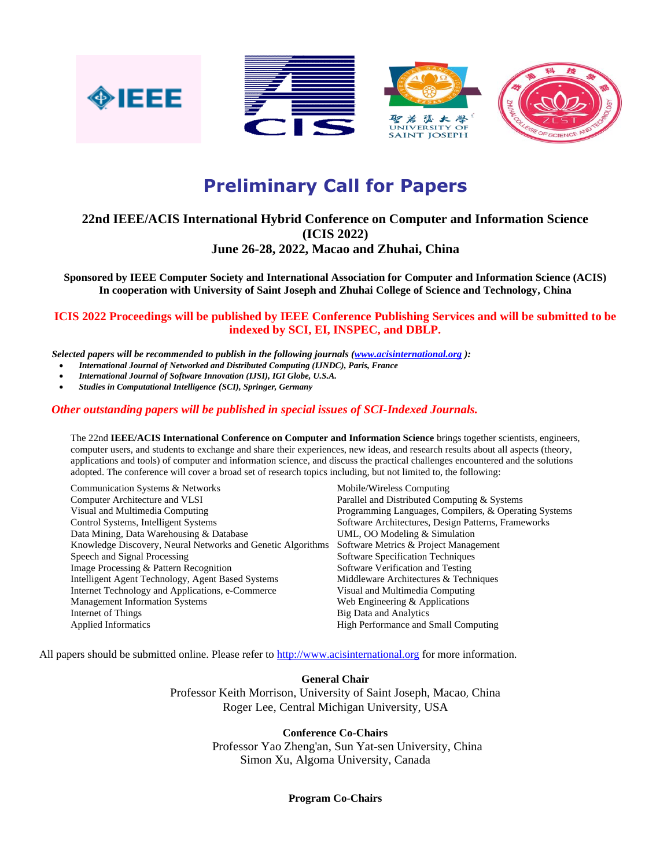







# **Preliminary Call for Papers**

## **22nd IEEE/ACIS International Hybrid Conference on Computer and Information Science (ICIS 2022)**

## **June 26-28, 2022, Macao and Zhuhai, China**

**Sponsored by IEEE Computer Society and International Association for Computer and Information Science (ACIS) In cooperation with University of Saint Joseph and Zhuhai College of Science and Technology, China**

## **ICIS 2022 Proceedings will be published by IEEE Conference Publishing Services and will be submitted to be indexed by SCI, EI, INSPEC, and DBLP.**

 *Selected papers will be recommended to publish in the following journals [\(www.acisinternational.org](http://www.acisinternational.org/) ):*

- *International Journal of Networked and Distributed Computing (IJNDC), Paris, France*
- *International Journal of Software Innovation (IJSI), IGI Globe, U.S.A.*
- *[Studies in Computational Intelligence](http://www.springer.com/series/7092) (SCI), Springer, Germany*

## *Other outstanding papers will be published in special issues of SCI-Indexed Journals.*

The 22nd **IEEE/ACIS International Conference on Computer and Information Science** brings together scientists, engineers, computer users, and students to exchange and share their experiences, new ideas, and research results about all aspects (theory, applications and tools) of computer and information science, and discuss the practical challenges encountered and the solutions adopted. The conference will cover a broad set of research topics including, but not limited to, the following:

| Communication Systems & Networks                            | Mobile/Wireless Computing                             |
|-------------------------------------------------------------|-------------------------------------------------------|
| <b>Computer Architecture and VLSI</b>                       | Parallel and Distributed Computing & Systems          |
| Visual and Multimedia Computing                             | Programming Languages, Compilers, & Operating Systems |
| Control Systems, Intelligent Systems                        | Software Architectures, Design Patterns, Frameworks   |
| Data Mining, Data Warehousing & Database                    | UML, OO Modeling & Simulation                         |
| Knowledge Discovery, Neural Networks and Genetic Algorithms | Software Metrics & Project Management                 |
| Speech and Signal Processing                                | <b>Software Specification Techniques</b>              |
| Image Processing & Pattern Recognition                      | Software Verification and Testing                     |
| Intelligent Agent Technology, Agent Based Systems           | Middleware Architectures & Techniques                 |
| Internet Technology and Applications, e-Commerce            | Visual and Multimedia Computing                       |
| <b>Management Information Systems</b>                       | Web Engineering & Applications                        |
| Internet of Things                                          | Big Data and Analytics                                |
| <b>Applied Informatics</b>                                  | High Performance and Small Computing                  |
|                                                             |                                                       |

All papers should be submitted online. Please refer t[o http://www.acisinternational.org](http://www.acisinternational.org/) for more information.

#### **General Chair**

Professor Keith Morrison, University of Saint Joseph, Macao, China Roger Lee, Central Michigan University, USA

#### **Conference Co-Chairs**

 Professor Yao Zheng'an, Sun Yat-sen University, China Simon Xu, Algoma University, Canada

#### **Program Co-Chairs**